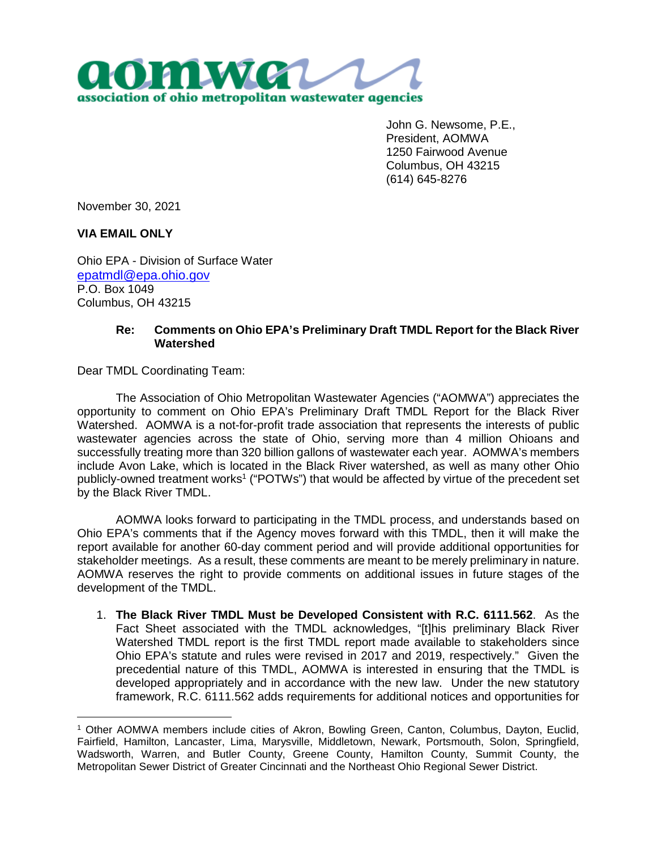

John G. Newsome, P.E., President, AOMWA 1250 Fairwood Avenue Columbus, OH 43215 (614) 645-8276

November 30, 2021

**VIA EMAIL ONLY**

Ohio EPA - Division of Surface Water epatmdl@epa.ohio.gov P.O. Box 1049 Columbus, OH 43215

## **Re: Comments on Ohio EPA's Preliminary Draft TMDL Report for the Black River Watershed**

Dear TMDL Coordinating Team:

The Association of Ohio Metropolitan Wastewater Agencies ("AOMWA") appreciates the opportunity to comment on Ohio EPA's Preliminary Draft TMDL Report for the Black River Watershed. AOMWA is a not-for-profit trade association that represents the interests of public wastewater agencies across the state of Ohio, serving more than 4 million Ohioans and successfully treating more than 320 billion gallons of wastewater each year. AOMWA's members include Avon Lake, which is located in the Black River watershed, as well as many other Ohio publicly-owned treatment works<sup>1</sup> ("POTWs") that would be affected by virtue of the precedent set by the Black River TMDL.

AOMWA looks forward to participating in the TMDL process, and understands based on Ohio EPA's comments that if the Agency moves forward with this TMDL, then it will make the report available for another 60-day comment period and will provide additional opportunities for stakeholder meetings. As a result, these comments are meant to be merely preliminary in nature. AOMWA reserves the right to provide comments on additional issues in future stages of the development of the TMDL.

1. **The Black River TMDL Must be Developed Consistent with R.C. 6111.562**. As the Fact Sheet associated with the TMDL acknowledges, "[t]his preliminary Black River Watershed TMDL report is the first TMDL report made available to stakeholders since Ohio EPA's statute and rules were revised in 2017 and 2019, respectively." Given the precedential nature of this TMDL, AOMWA is interested in ensuring that the TMDL is developed appropriately and in accordance with the new law. Under the new statutory framework, R.C. 6111.562 adds requirements for additional notices and opportunities for

<sup>1</sup> Other AOMWA members include cities of Akron, Bowling Green, Canton, Columbus, Dayton, Euclid, Fairfield, Hamilton, Lancaster, Lima, Marysville, Middletown, Newark, Portsmouth, Solon, Springfield, Wadsworth, Warren, and Butler County, Greene County, Hamilton County, Summit County, the Metropolitan Sewer District of Greater Cincinnati and the Northeast Ohio Regional Sewer District.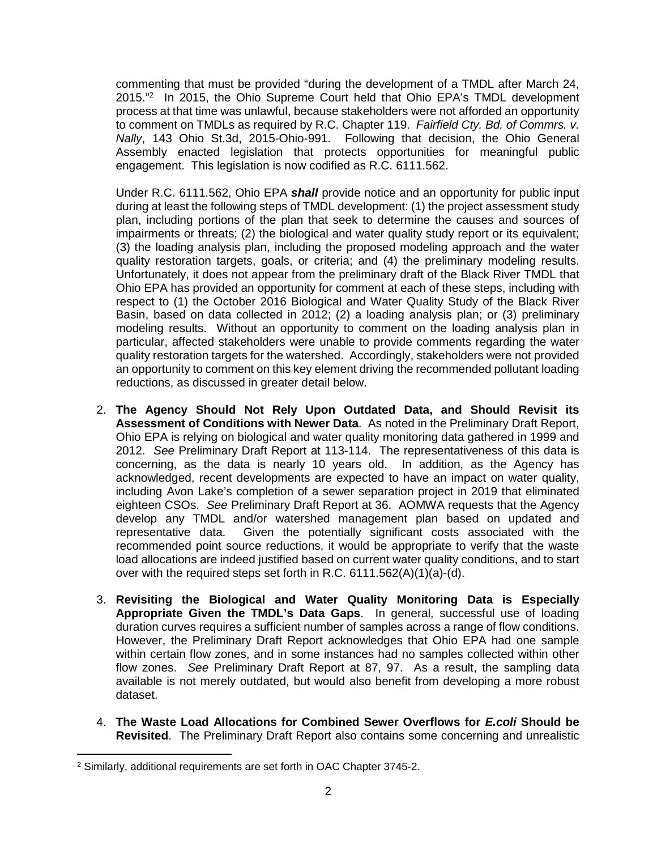commenting that must be provided "during the development of a TMDL after March 24, 2015."<sup>2</sup> In 2015, the Ohio Supreme Court held that Ohio EPA's TMDL development process at that time was unlawful, because stakeholders were not afforded an opportunity to comment on TMDLs as required by R.C. Chapter 119. *Fairfield Cty. Bd. of Commrs. v. Nally*, 143 Ohio St.3d, 2015-Ohio-991. Following that decision, the Ohio General Assembly enacted legislation that protects opportunities for meaningful public engagement. This legislation is now codified as R.C. 6111.562.

Under R.C. 6111.562, Ohio EPA *shall* provide notice and an opportunity for public input during at least the following steps of TMDL development: (1) the project assessment study plan, including portions of the plan that seek to determine the causes and sources of impairments or threats; (2) the biological and water quality study report or its equivalent; (3) the loading analysis plan, including the proposed modeling approach and the water quality restoration targets, goals, or criteria; and (4) the preliminary modeling results. Unfortunately, it does not appear from the preliminary draft of the Black River TMDL that Ohio EPA has provided an opportunity for comment at each of these steps, including with respect to (1) the October 2016 Biological and Water Quality Study of the Black River Basin, based on data collected in 2012; (2) a loading analysis plan; or (3) preliminary modeling results. Without an opportunity to comment on the loading analysis plan in particular, affected stakeholders were unable to provide comments regarding the water quality restoration targets for the watershed. Accordingly, stakeholders were not provided an opportunity to comment on this key element driving the recommended pollutant loading reductions, as discussed in greater detail below.

- 2. **The Agency Should Not Rely Upon Outdated Data, and Should Revisit its Assessment of Conditions with Newer Data**. As noted in the Preliminary Draft Report, Ohio EPA is relying on biological and water quality monitoring data gathered in 1999 and 2012. *See* Preliminary Draft Report at 113-114. The representativeness of this data is concerning, as the data is nearly 10 years old. In addition, as the Agency has acknowledged, recent developments are expected to have an impact on water quality, including Avon Lake's completion of a sewer separation project in 2019 that eliminated eighteen CSOs. *See* Preliminary Draft Report at 36. AOMWA requests that the Agency develop any TMDL and/or watershed management plan based on updated and representative data. Given the potentially significant costs associated with the recommended point source reductions, it would be appropriate to verify that the waste load allocations are indeed justified based on current water quality conditions, and to start over with the required steps set forth in R.C. 6111.562(A)(1)(a)-(d).
- 3. **Revisiting the Biological and Water Quality Monitoring Data is Especially Appropriate Given the TMDL's Data Gaps**. In general, successful use of loading duration curves requires a sufficient number of samples across a range of flow conditions. However, the Preliminary Draft Report acknowledges that Ohio EPA had one sample within certain flow zones, and in some instances had no samples collected within other flow zones. *See* Preliminary Draft Report at 87, 97. As a result, the sampling data available is not merely outdated, but would also benefit from developing a more robust dataset.
- 4. **The Waste Load Allocations for Combined Sewer Overflows for** *E.coli* **Should be Revisited**. The Preliminary Draft Report also contains some concerning and unrealistic

<sup>2</sup> Similarly, additional requirements are set forth in OAC Chapter 3745-2.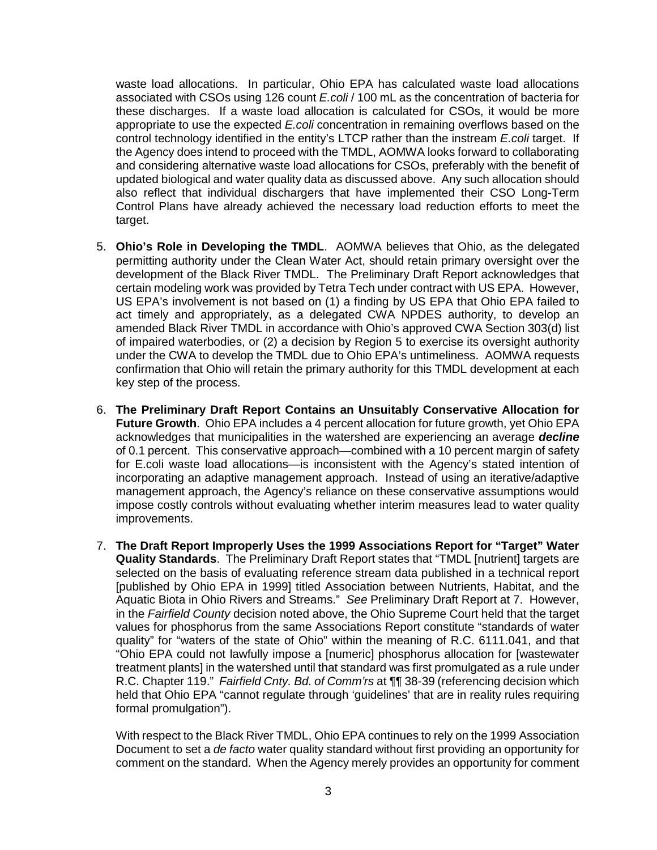waste load allocations. In particular, Ohio EPA has calculated waste load allocations associated with CSOs using 126 count *E.coli* / 100 mL as the concentration of bacteria for these discharges. If a waste load allocation is calculated for CSOs, it would be more appropriate to use the expected *E.coli* concentration in remaining overflows based on the control technology identified in the entity's LTCP rather than the instream *E.coli* target. If the Agency does intend to proceed with the TMDL, AOMWA looks forward to collaborating and considering alternative waste load allocations for CSOs, preferably with the benefit of updated biological and water quality data as discussed above. Any such allocation should also reflect that individual dischargers that have implemented their CSO Long-Term Control Plans have already achieved the necessary load reduction efforts to meet the target.

- 5. **Ohio's Role in Developing the TMDL**. AOMWA believes that Ohio, as the delegated permitting authority under the Clean Water Act, should retain primary oversight over the development of the Black River TMDL. The Preliminary Draft Report acknowledges that certain modeling work was provided by Tetra Tech under contract with US EPA. However, US EPA's involvement is not based on (1) a finding by US EPA that Ohio EPA failed to act timely and appropriately, as a delegated CWA NPDES authority, to develop an amended Black River TMDL in accordance with Ohio's approved CWA Section 303(d) list of impaired waterbodies, or (2) a decision by Region 5 to exercise its oversight authority under the CWA to develop the TMDL due to Ohio EPA's untimeliness. AOMWA requests confirmation that Ohio will retain the primary authority for this TMDL development at each key step of the process.
- 6. **The Preliminary Draft Report Contains an Unsuitably Conservative Allocation for Future Growth**. Ohio EPA includes a 4 percent allocation for future growth, yet Ohio EPA acknowledges that municipalities in the watershed are experiencing an average *decline* of 0.1 percent. This conservative approach—combined with a 10 percent margin of safety for E.coli waste load allocations—is inconsistent with the Agency's stated intention of incorporating an adaptive management approach. Instead of using an iterative/adaptive management approach, the Agency's reliance on these conservative assumptions would impose costly controls without evaluating whether interim measures lead to water quality improvements.
- 7. **The Draft Report Improperly Uses the 1999 Associations Report for "Target" Water Quality Standards**. The Preliminary Draft Report states that "TMDL [nutrient] targets are selected on the basis of evaluating reference stream data published in a technical report [published by Ohio EPA in 1999] titled Association between Nutrients, Habitat, and the Aquatic Biota in Ohio Rivers and Streams." *See* Preliminary Draft Report at 7. However, in the *Fairfield County* decision noted above, the Ohio Supreme Court held that the target values for phosphorus from the same Associations Report constitute "standards of water quality" for "waters of the state of Ohio" within the meaning of R.C. 6111.041, and that "Ohio EPA could not lawfully impose a [numeric] phosphorus allocation for [wastewater treatment plants] in the watershed until that standard was first promulgated as a rule under R.C. Chapter 119." *Fairfield Cnty. Bd. of Comm'rs* at ¶¶ 38-39 (referencing decision which held that Ohio EPA "cannot regulate through 'guidelines' that are in reality rules requiring formal promulgation").

With respect to the Black River TMDL, Ohio EPA continues to rely on the 1999 Association Document to set a *de facto* water quality standard without first providing an opportunity for comment on the standard. When the Agency merely provides an opportunity for comment